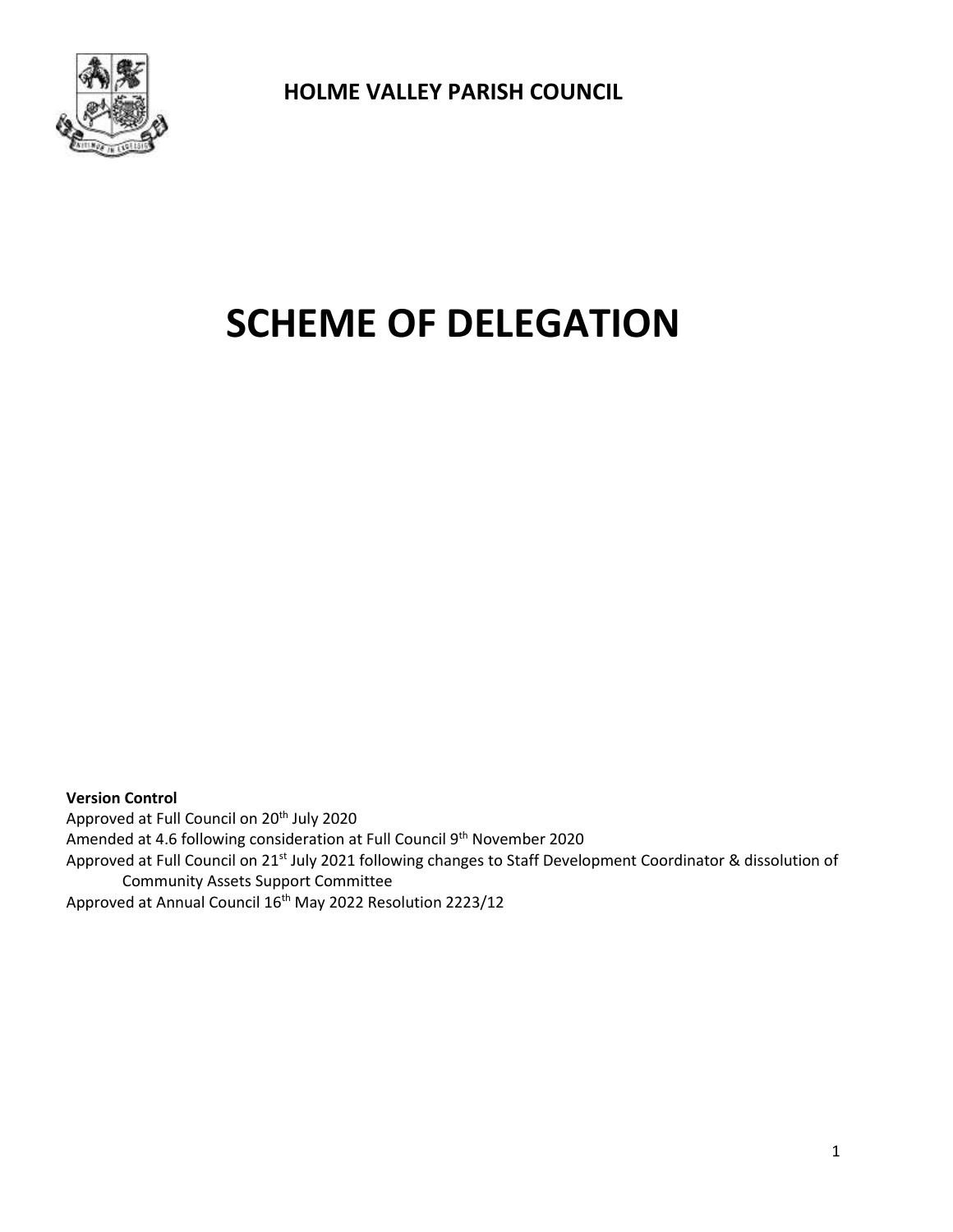

# **SCHEME OF DELEGATION**

**Version Control** Approved at Full Council on 20<sup>th</sup> July 2020 Amended at 4.6 following consideration at Full Council 9<sup>th</sup> November 2020 Approved at Full Council on 21<sup>st</sup> July 2021 following changes to Staff Development Coordinator & dissolution of Community Assets Support Committee Approved at Annual Council 16<sup>th</sup> May 2022 Resolution 2223/12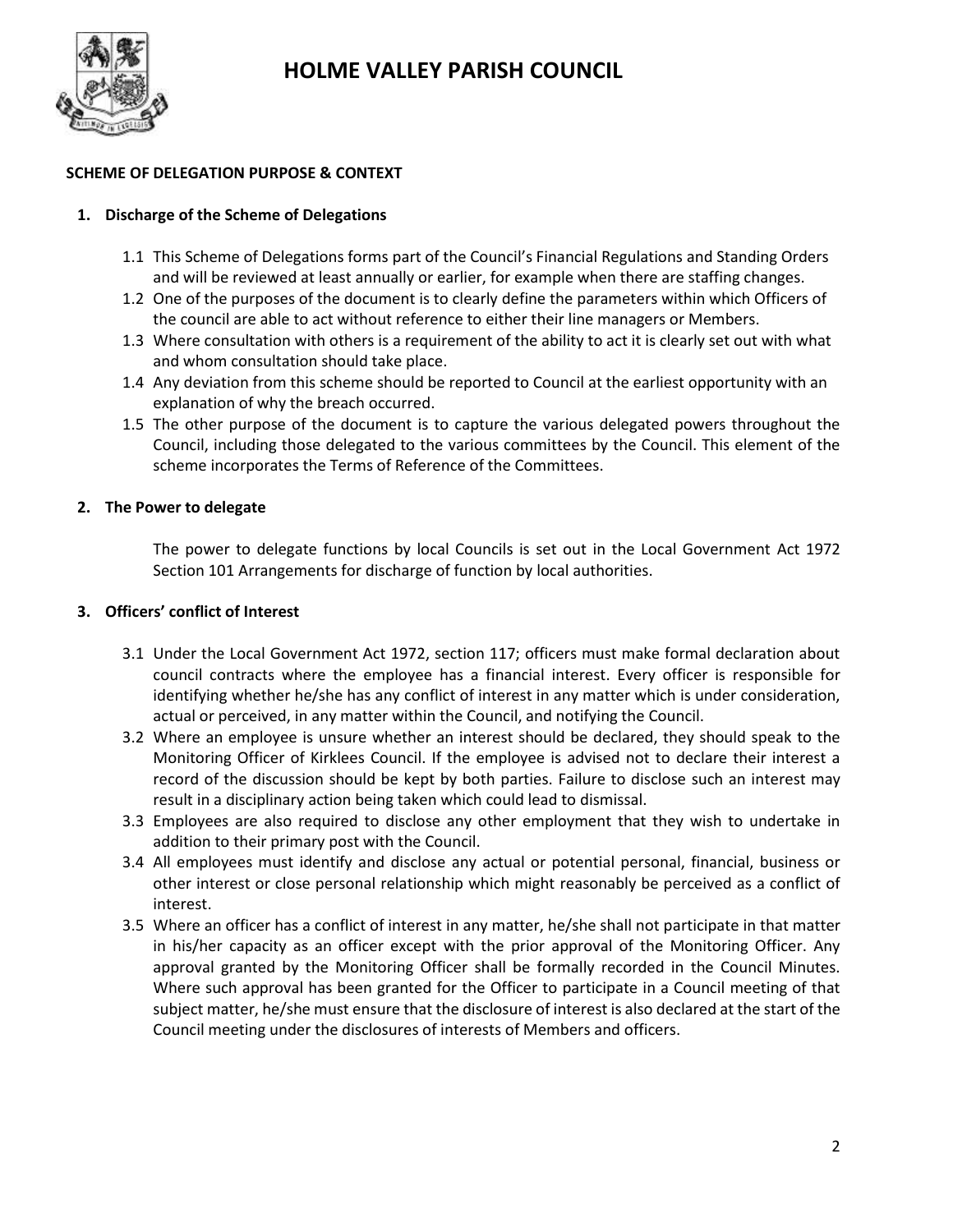

# **SCHEME OF DELEGATION PURPOSE & CONTEXT**

# **1. Discharge of the Scheme of Delegations**

- 1.1 This Scheme of Delegations forms part of the Council's Financial Regulations and Standing Orders and will be reviewed at least annually or earlier, for example when there are staffing changes.
- 1.2 One of the purposes of the document is to clearly define the parameters within which Officers of the council are able to act without reference to either their line managers or Members.
- 1.3 Where consultation with others is a requirement of the ability to act it is clearly set out with what and whom consultation should take place.
- 1.4 Any deviation from this scheme should be reported to Council at the earliest opportunity with an explanation of why the breach occurred.
- 1.5 The other purpose of the document is to capture the various delegated powers throughout the Council, including those delegated to the various committees by the Council. This element of the scheme incorporates the Terms of Reference of the Committees.

# **2. The Power to delegate**

The power to delegate functions by local Councils is set out in the Local Government Act 1972 Section 101 Arrangements for discharge of function by local authorities.

# **3. Officers' conflict of Interest**

- 3.1 Under the Local Government Act 1972, section 117; officers must make formal declaration about council contracts where the employee has a financial interest. Every officer is responsible for identifying whether he/she has any conflict of interest in any matter which is under consideration, actual or perceived, in any matter within the Council, and notifying the Council.
- 3.2 Where an employee is unsure whether an interest should be declared, they should speak to the Monitoring Officer of Kirklees Council. If the employee is advised not to declare their interest a record of the discussion should be kept by both parties. Failure to disclose such an interest may result in a disciplinary action being taken which could lead to dismissal.
- 3.3 Employees are also required to disclose any other employment that they wish to undertake in addition to their primary post with the Council.
- 3.4 All employees must identify and disclose any actual or potential personal, financial, business or other interest or close personal relationship which might reasonably be perceived as a conflict of interest.
- 3.5 Where an officer has a conflict of interest in any matter, he/she shall not participate in that matter in his/her capacity as an officer except with the prior approval of the Monitoring Officer. Any approval granted by the Monitoring Officer shall be formally recorded in the Council Minutes. Where such approval has been granted for the Officer to participate in a Council meeting of that subject matter, he/she must ensure that the disclosure of interest is also declared at the start of the Council meeting under the disclosures of interests of Members and officers.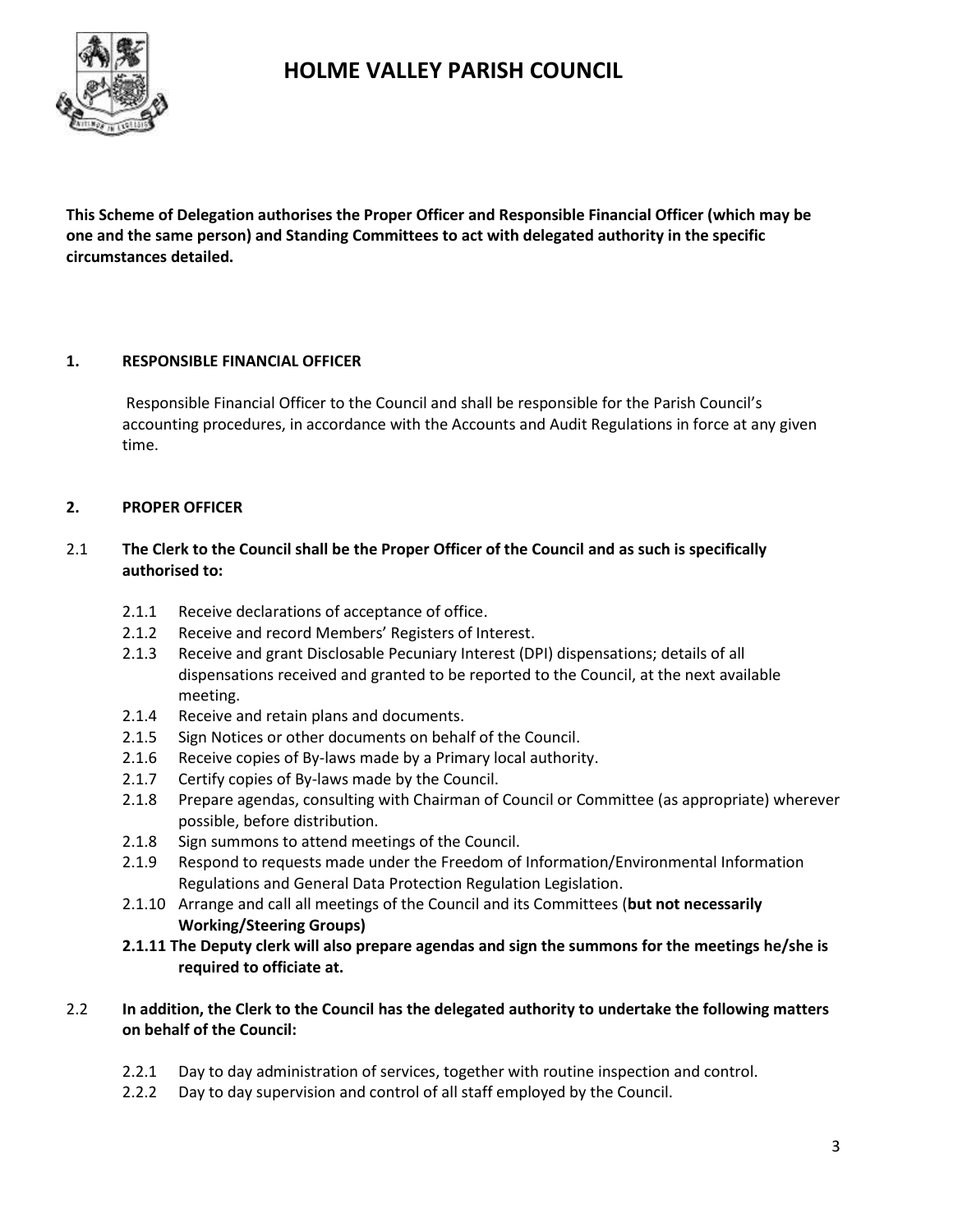

**This Scheme of Delegation authorises the Proper Officer and Responsible Financial Officer (which may be one and the same person) and Standing Committees to act with delegated authority in the specific circumstances detailed.**

### **1. RESPONSIBLE FINANCIAL OFFICER**

Responsible Financial Officer to the Council and shall be responsible for the Parish Council's accounting procedures, in accordance with the Accounts and Audit Regulations in force at any given time.

### **2. PROPER OFFICER**

# 2.1 **The Clerk to the Council shall be the Proper Officer of the Council and as such is specifically authorised to:**

- 2.1.1 Receive declarations of acceptance of office.
- 2.1.2 Receive and record Members' Registers of Interest.
- 2.1.3 Receive and grant Disclosable Pecuniary Interest (DPI) dispensations; details of all dispensations received and granted to be reported to the Council, at the next available meeting.
- 2.1.4 Receive and retain plans and documents.
- 2.1.5 Sign Notices or other documents on behalf of the Council.
- 2.1.6 Receive copies of By-laws made by a Primary local authority.
- 2.1.7 Certify copies of By-laws made by the Council.
- 2.1.8 Prepare agendas, consulting with Chairman of Council or Committee (as appropriate) wherever possible, before distribution.
- 2.1.8 Sign summons to attend meetings of the Council.
- 2.1.9 Respond to requests made under the Freedom of Information/Environmental Information Regulations and General Data Protection Regulation Legislation.
- 2.1.10 Arrange and call all meetings of the Council and its Committees (**but not necessarily Working/Steering Groups)**
- **2.1.11 The Deputy clerk will also prepare agendas and sign the summons for the meetings he/she is required to officiate at.**

### 2.2 **In addition, the Clerk to the Council has the delegated authority to undertake the following matters on behalf of the Council:**

- 2.2.1 Day to day administration of services, together with routine inspection and control.
- 2.2.2 Day to day supervision and control of all staff employed by the Council.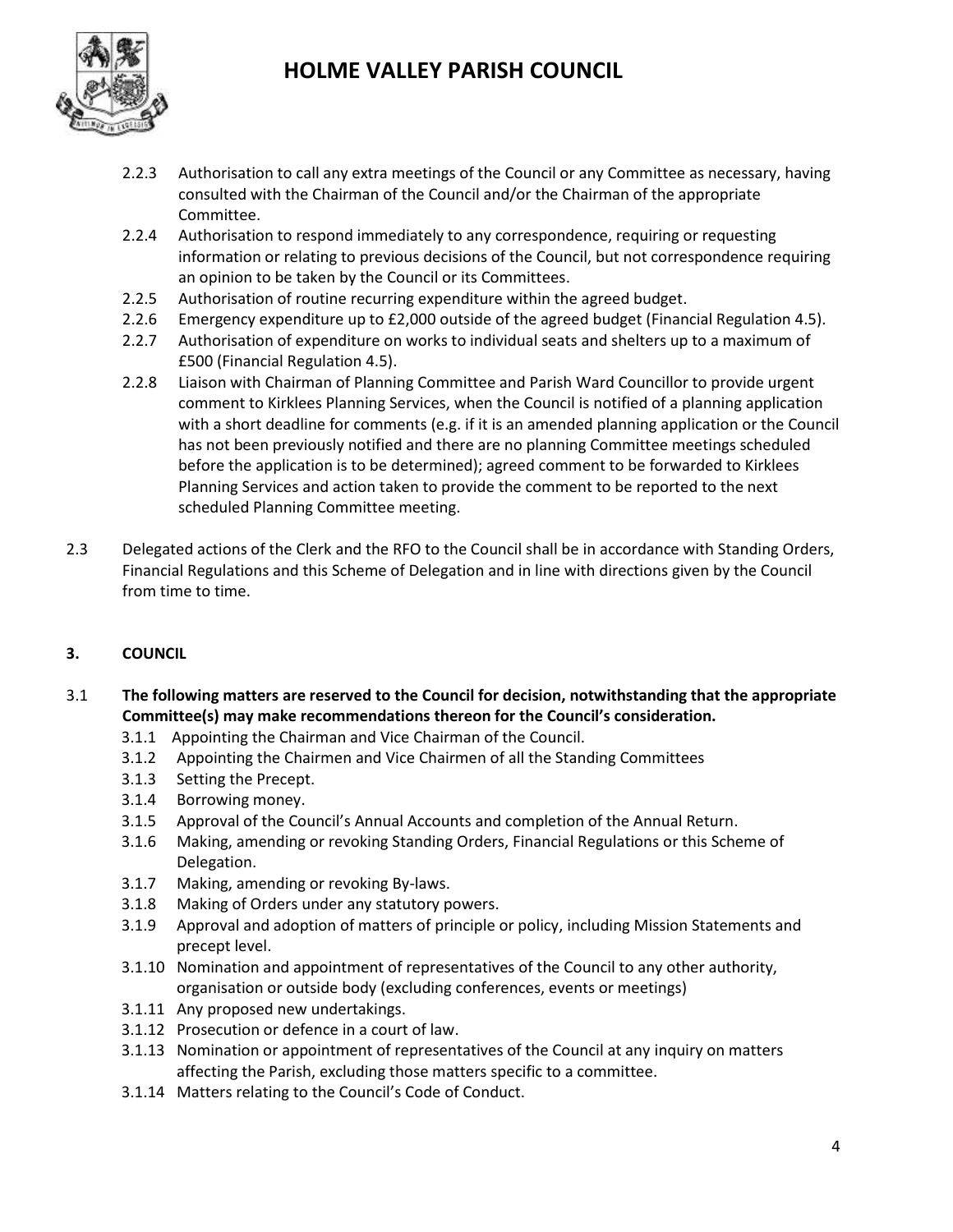

- 2.2.3 Authorisation to call any extra meetings of the Council or any Committee as necessary, having consulted with the Chairman of the Council and/or the Chairman of the appropriate Committee.
- 2.2.4 Authorisation to respond immediately to any correspondence, requiring or requesting information or relating to previous decisions of the Council, but not correspondence requiring an opinion to be taken by the Council or its Committees.
- 2.2.5 Authorisation of routine recurring expenditure within the agreed budget.
- 2.2.6 Emergency expenditure up to £2,000 outside of the agreed budget (Financial Regulation 4.5).
- 2.2.7 Authorisation of expenditure on works to individual seats and shelters up to a maximum of £500 (Financial Regulation 4.5).
- 2.2.8 Liaison with Chairman of Planning Committee and Parish Ward Councillor to provide urgent comment to Kirklees Planning Services, when the Council is notified of a planning application with a short deadline for comments (e.g. if it is an amended planning application or the Council has not been previously notified and there are no planning Committee meetings scheduled before the application is to be determined); agreed comment to be forwarded to Kirklees Planning Services and action taken to provide the comment to be reported to the next scheduled Planning Committee meeting.
- 2.3 Delegated actions of the Clerk and the RFO to the Council shall be in accordance with Standing Orders, Financial Regulations and this Scheme of Delegation and in line with directions given by the Council from time to time.

# **3. COUNCIL**

- 3.1 **The following matters are reserved to the Council for decision, notwithstanding that the appropriate Committee(s) may make recommendations thereon for the Council's consideration.**
	- 3.1.1 Appointing the Chairman and Vice Chairman of the Council.
	- 3.1.2 Appointing the Chairmen and Vice Chairmen of all the Standing Committees
	- 3.1.3 Setting the Precept.
	- 3.1.4 Borrowing money.
	- 3.1.5 Approval of the Council's Annual Accounts and completion of the Annual Return.
	- 3.1.6 Making, amending or revoking Standing Orders, Financial Regulations or this Scheme of Delegation.
	- 3.1.7 Making, amending or revoking By-laws.
	- 3.1.8 Making of Orders under any statutory powers.
	- 3.1.9 Approval and adoption of matters of principle or policy, including Mission Statements and precept level.
	- 3.1.10 Nomination and appointment of representatives of the Council to any other authority, organisation or outside body (excluding conferences, events or meetings)
	- 3.1.11 Any proposed new undertakings.
	- 3.1.12 Prosecution or defence in a court of law.
	- 3.1.13 Nomination or appointment of representatives of the Council at any inquiry on matters affecting the Parish, excluding those matters specific to a committee.
	- 3.1.14 Matters relating to the Council's Code of Conduct.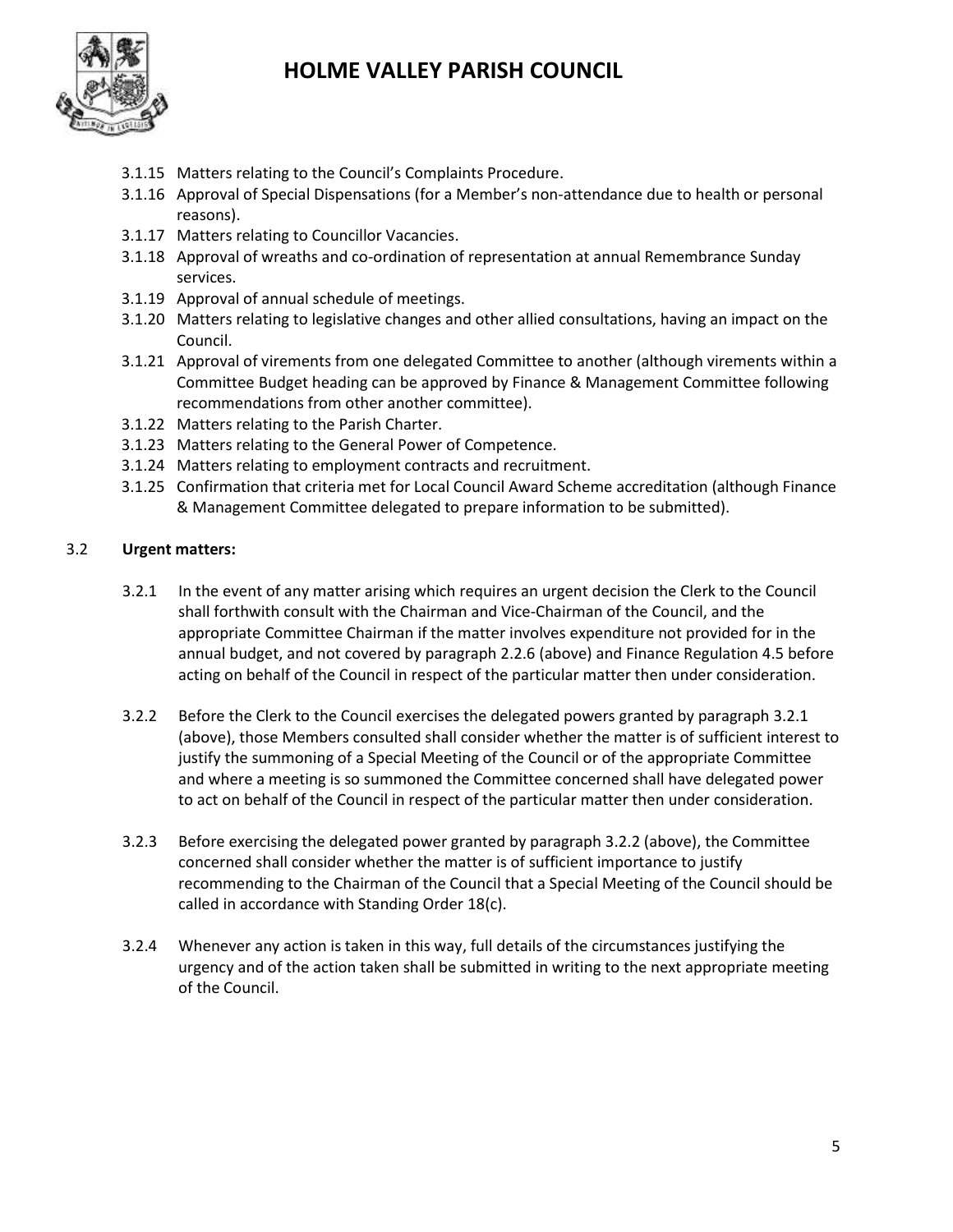

- 3.1.15 Matters relating to the Council's Complaints Procedure.
- 3.1.16 Approval of Special Dispensations (for a Member's non-attendance due to health or personal reasons).
- 3.1.17 Matters relating to Councillor Vacancies.
- 3.1.18 Approval of wreaths and co-ordination of representation at annual Remembrance Sunday services.
- 3.1.19 Approval of annual schedule of meetings.
- 3.1.20 Matters relating to legislative changes and other allied consultations, having an impact on the Council.
- 3.1.21 Approval of virements from one delegated Committee to another (although virements within a Committee Budget heading can be approved by Finance & Management Committee following recommendations from other another committee).
- 3.1.22 Matters relating to the Parish Charter.
- 3.1.23 Matters relating to the General Power of Competence.
- 3.1.24 Matters relating to employment contracts and recruitment.
- 3.1.25 Confirmation that criteria met for Local Council Award Scheme accreditation (although Finance & Management Committee delegated to prepare information to be submitted).

### 3.2 **Urgent matters:**

- 3.2.1 In the event of any matter arising which requires an urgent decision the Clerk to the Council shall forthwith consult with the Chairman and Vice-Chairman of the Council, and the appropriate Committee Chairman if the matter involves expenditure not provided for in the annual budget, and not covered by paragraph 2.2.6 (above) and Finance Regulation 4.5 before acting on behalf of the Council in respect of the particular matter then under consideration.
- 3.2.2 Before the Clerk to the Council exercises the delegated powers granted by paragraph 3.2.1 (above), those Members consulted shall consider whether the matter is of sufficient interest to justify the summoning of a Special Meeting of the Council or of the appropriate Committee and where a meeting is so summoned the Committee concerned shall have delegated power to act on behalf of the Council in respect of the particular matter then under consideration.
- 3.2.3 Before exercising the delegated power granted by paragraph 3.2.2 (above), the Committee concerned shall consider whether the matter is of sufficient importance to justify recommending to the Chairman of the Council that a Special Meeting of the Council should be called in accordance with Standing Order 18(c).
- 3.2.4 Whenever any action is taken in this way, full details of the circumstances justifying the urgency and of the action taken shall be submitted in writing to the next appropriate meeting of the Council.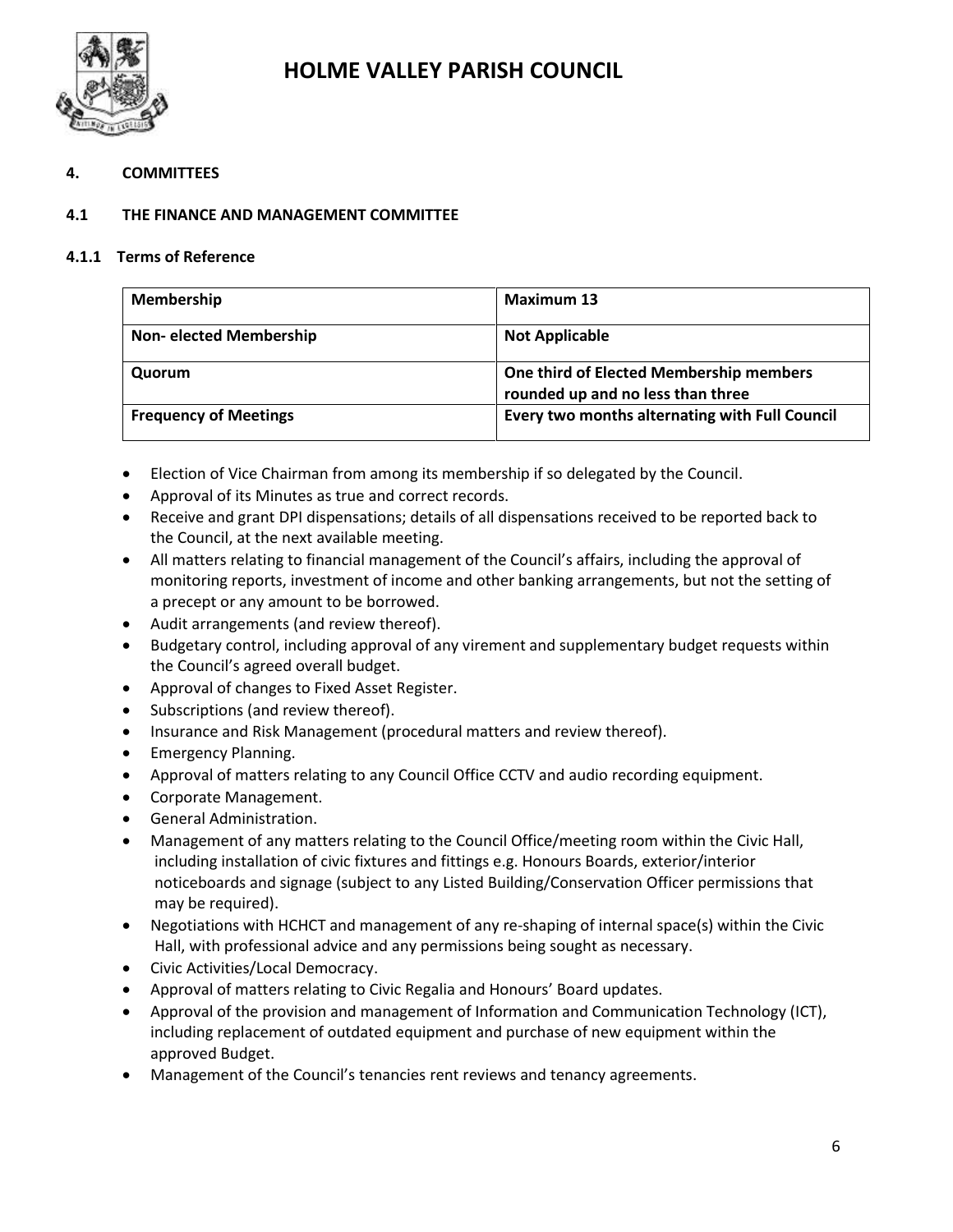

### **4. COMMITTEES**

### **4.1 THE FINANCE AND MANAGEMENT COMMITTEE**

#### **4.1.1 Terms of Reference**

| <b>Membership</b>             | <b>Maximum 13</b>                                                            |
|-------------------------------|------------------------------------------------------------------------------|
| <b>Non-elected Membership</b> | <b>Not Applicable</b>                                                        |
| Quorum                        | One third of Elected Membership members<br>rounded up and no less than three |
| <b>Frequency of Meetings</b>  | Every two months alternating with Full Council                               |

- Election of Vice Chairman from among its membership if so delegated by the Council.
- Approval of its Minutes as true and correct records.
- Receive and grant DPI dispensations; details of all dispensations received to be reported back to the Council, at the next available meeting.
- All matters relating to financial management of the Council's affairs, including the approval of monitoring reports, investment of income and other banking arrangements, but not the setting of a precept or any amount to be borrowed.
- Audit arrangements (and review thereof).
- Budgetary control, including approval of any virement and supplementary budget requests within the Council's agreed overall budget.
- Approval of changes to Fixed Asset Register.
- Subscriptions (and review thereof).
- Insurance and Risk Management (procedural matters and review thereof).
- Emergency Planning.
- Approval of matters relating to any Council Office CCTV and audio recording equipment.
- Corporate Management.
- General Administration.
- Management of any matters relating to the Council Office/meeting room within the Civic Hall, including installation of civic fixtures and fittings e.g. Honours Boards, exterior/interior noticeboards and signage (subject to any Listed Building/Conservation Officer permissions that may be required).
- Negotiations with HCHCT and management of any re-shaping of internal space(s) within the Civic Hall, with professional advice and any permissions being sought as necessary.
- Civic Activities/Local Democracy.
- Approval of matters relating to Civic Regalia and Honours' Board updates.
- Approval of the provision and management of Information and Communication Technology (ICT), including replacement of outdated equipment and purchase of new equipment within the approved Budget.
- Management of the Council's tenancies rent reviews and tenancy agreements.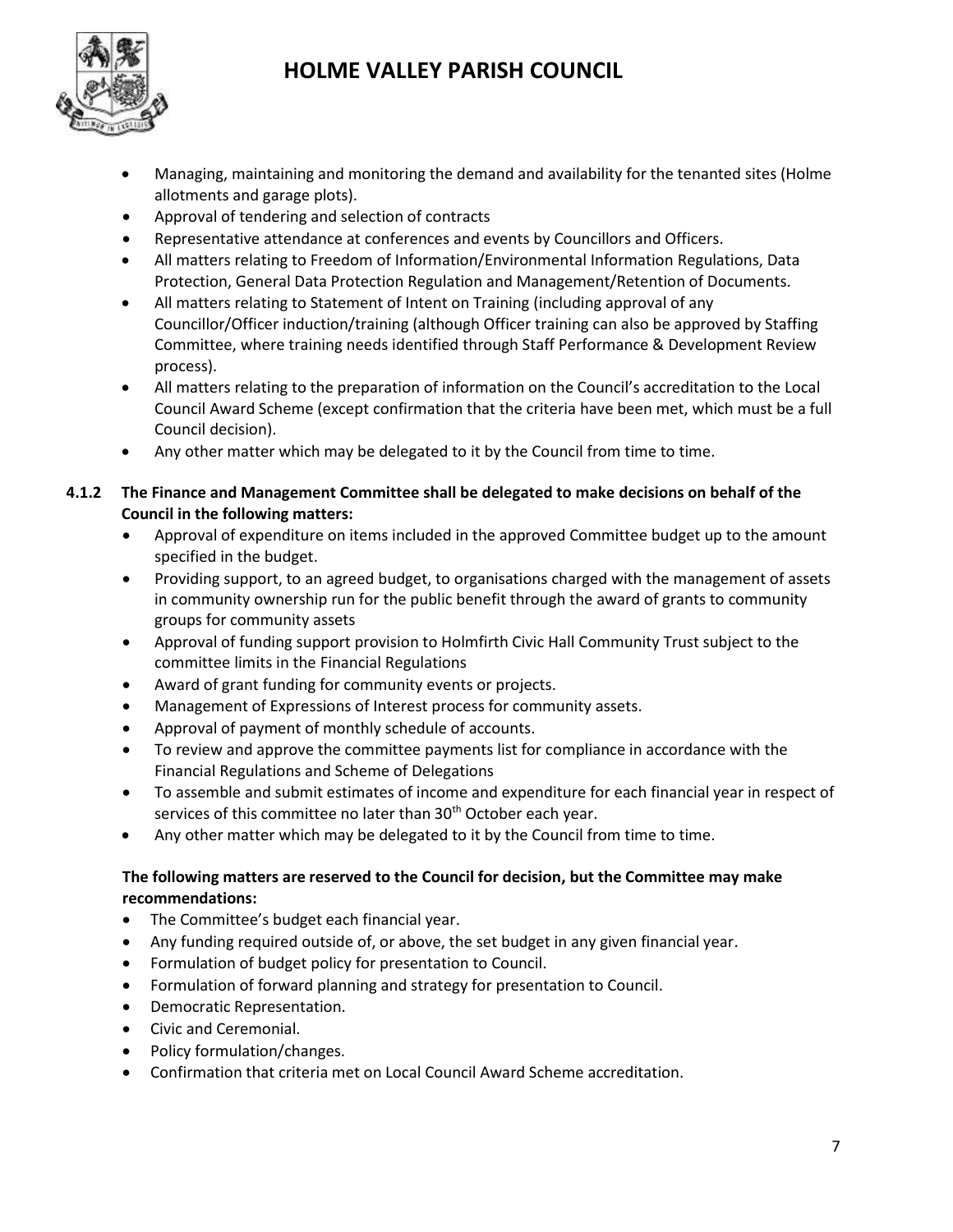

- Managing, maintaining and monitoring the demand and availability for the tenanted sites (Holme allotments and garage plots).
- Approval of tendering and selection of contracts
- Representative attendance at conferences and events by Councillors and Officers.
- All matters relating to Freedom of Information/Environmental Information Regulations, Data Protection, General Data Protection Regulation and Management/Retention of Documents.
- All matters relating to Statement of Intent on Training (including approval of any Councillor/Officer induction/training (although Officer training can also be approved by Staffing Committee, where training needs identified through Staff Performance & Development Review process).
- All matters relating to the preparation of information on the Council's accreditation to the Local Council Award Scheme (except confirmation that the criteria have been met, which must be a full Council decision).
- Any other matter which may be delegated to it by the Council from time to time.

# **4.1.2 The Finance and Management Committee shall be delegated to make decisions on behalf of the Council in the following matters:**

- Approval of expenditure on items included in the approved Committee budget up to the amount specified in the budget.
- Providing support, to an agreed budget, to organisations charged with the management of assets in community ownership run for the public benefit through the award of grants to community groups for community assets
- Approval of funding support provision to Holmfirth Civic Hall Community Trust subject to the committee limits in the Financial Regulations
- Award of grant funding for community events or projects.
- Management of Expressions of Interest process for community assets.
- Approval of payment of monthly schedule of accounts.
- To review and approve the committee payments list for compliance in accordance with the Financial Regulations and Scheme of Delegations
- To assemble and submit estimates of income and expenditure for each financial year in respect of services of this committee no later than 30<sup>th</sup> October each year.
- Any other matter which may be delegated to it by the Council from time to time.

# **The following matters are reserved to the Council for decision, but the Committee may make recommendations:**

- The Committee's budget each financial year.
- Any funding required outside of, or above, the set budget in any given financial year.
- Formulation of budget policy for presentation to Council.
- Formulation of forward planning and strategy for presentation to Council.
- Democratic Representation.
- Civic and Ceremonial.
- Policy formulation/changes.
- Confirmation that criteria met on Local Council Award Scheme accreditation.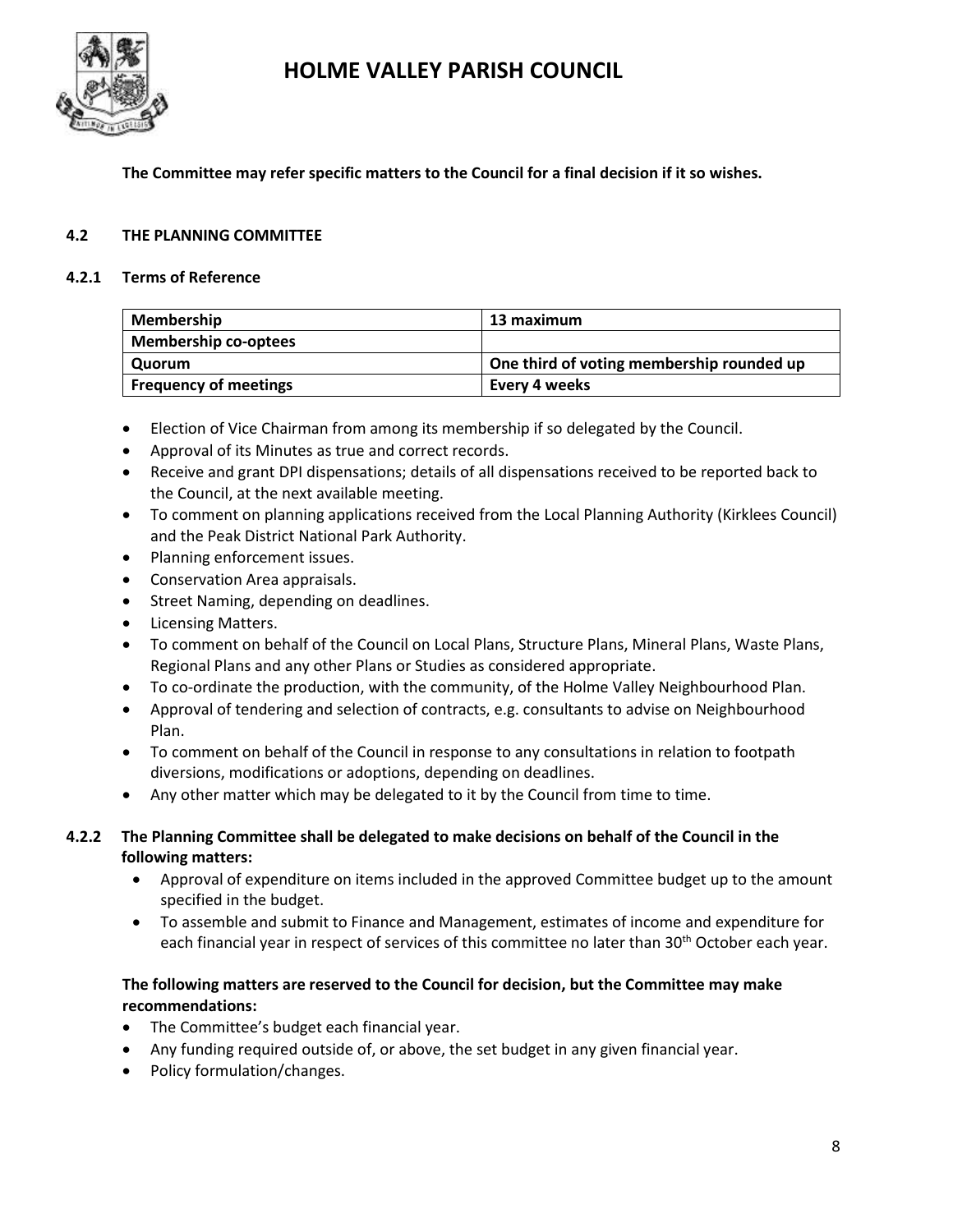

**The Committee may refer specific matters to the Council for a final decision if it so wishes.**

### **4.2 THE PLANNING COMMITTEE**

#### **4.2.1 Terms of Reference**

| <b>Membership</b>            | 13 maximum                                |
|------------------------------|-------------------------------------------|
| <b>Membership co-optees</b>  |                                           |
| Quorum                       | One third of voting membership rounded up |
| <b>Frequency of meetings</b> | Every 4 weeks                             |

- Election of Vice Chairman from among its membership if so delegated by the Council.
- Approval of its Minutes as true and correct records.
- Receive and grant DPI dispensations; details of all dispensations received to be reported back to the Council, at the next available meeting.
- To comment on planning applications received from the Local Planning Authority (Kirklees Council) and the Peak District National Park Authority.
- Planning enforcement issues.
- Conservation Area appraisals.
- Street Naming, depending on deadlines.
- Licensing Matters.
- To comment on behalf of the Council on Local Plans, Structure Plans, Mineral Plans, Waste Plans, Regional Plans and any other Plans or Studies as considered appropriate.
- To co-ordinate the production, with the community, of the Holme Valley Neighbourhood Plan.
- Approval of tendering and selection of contracts, e.g. consultants to advise on Neighbourhood Plan.
- To comment on behalf of the Council in response to any consultations in relation to footpath diversions, modifications or adoptions, depending on deadlines.
- Any other matter which may be delegated to it by the Council from time to time.

### **4.2.2 The Planning Committee shall be delegated to make decisions on behalf of the Council in the following matters:**

- Approval of expenditure on items included in the approved Committee budget up to the amount specified in the budget.
- To assemble and submit to Finance and Management, estimates of income and expenditure for each financial year in respect of services of this committee no later than 30<sup>th</sup> October each year.

# **The following matters are reserved to the Council for decision, but the Committee may make recommendations:**

- The Committee's budget each financial year.
- Any funding required outside of, or above, the set budget in any given financial year.
- Policy formulation/changes.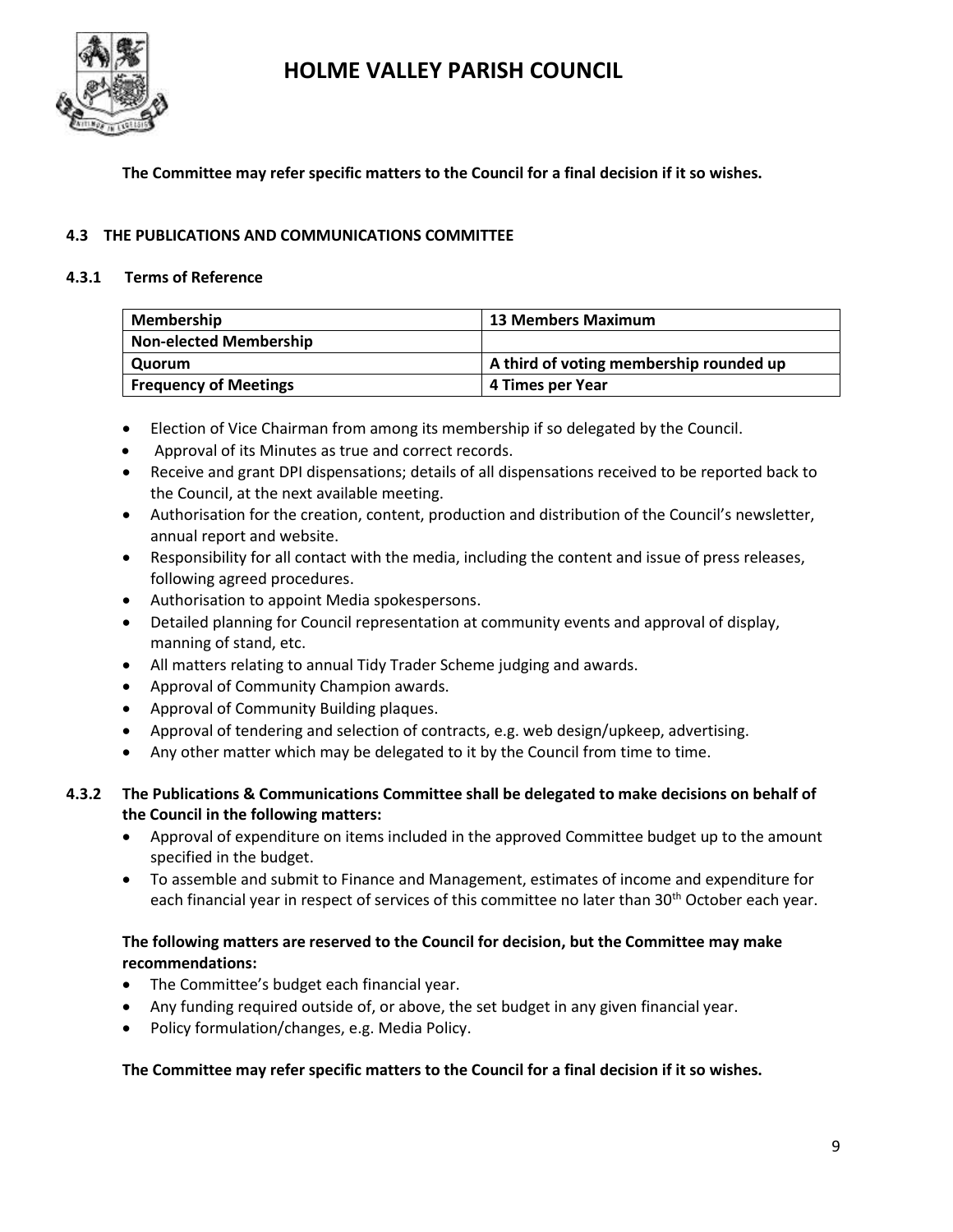

### **The Committee may refer specific matters to the Council for a final decision if it so wishes.**

### **4.3 THE PUBLICATIONS AND COMMUNICATIONS COMMITTEE**

### **4.3.1 Terms of Reference**

| <b>Membership</b>             | <b>13 Members Maximum</b>               |
|-------------------------------|-----------------------------------------|
| <b>Non-elected Membership</b> |                                         |
| Quorum                        | A third of voting membership rounded up |
| <b>Frequency of Meetings</b>  | 4 Times per Year                        |

- Election of Vice Chairman from among its membership if so delegated by the Council.
- Approval of its Minutes as true and correct records.
- Receive and grant DPI dispensations; details of all dispensations received to be reported back to the Council, at the next available meeting.
- Authorisation for the creation, content, production and distribution of the Council's newsletter, annual report and website.
- Responsibility for all contact with the media, including the content and issue of press releases, following agreed procedures.
- Authorisation to appoint Media spokespersons.
- Detailed planning for Council representation at community events and approval of display, manning of stand, etc.
- All matters relating to annual Tidy Trader Scheme judging and awards.
- Approval of Community Champion awards.
- Approval of Community Building plaques.
- Approval of tendering and selection of contracts, e.g. web design/upkeep, advertising.
- Any other matter which may be delegated to it by the Council from time to time.

### **4.3.2 The Publications & Communications Committee shall be delegated to make decisions on behalf of the Council in the following matters:**

- Approval of expenditure on items included in the approved Committee budget up to the amount specified in the budget.
- To assemble and submit to Finance and Management, estimates of income and expenditure for each financial year in respect of services of this committee no later than 30<sup>th</sup> October each year.

# **The following matters are reserved to the Council for decision, but the Committee may make recommendations:**

- The Committee's budget each financial year.
- Any funding required outside of, or above, the set budget in any given financial year.
- Policy formulation/changes, e.g. Media Policy.

### **The Committee may refer specific matters to the Council for a final decision if it so wishes.**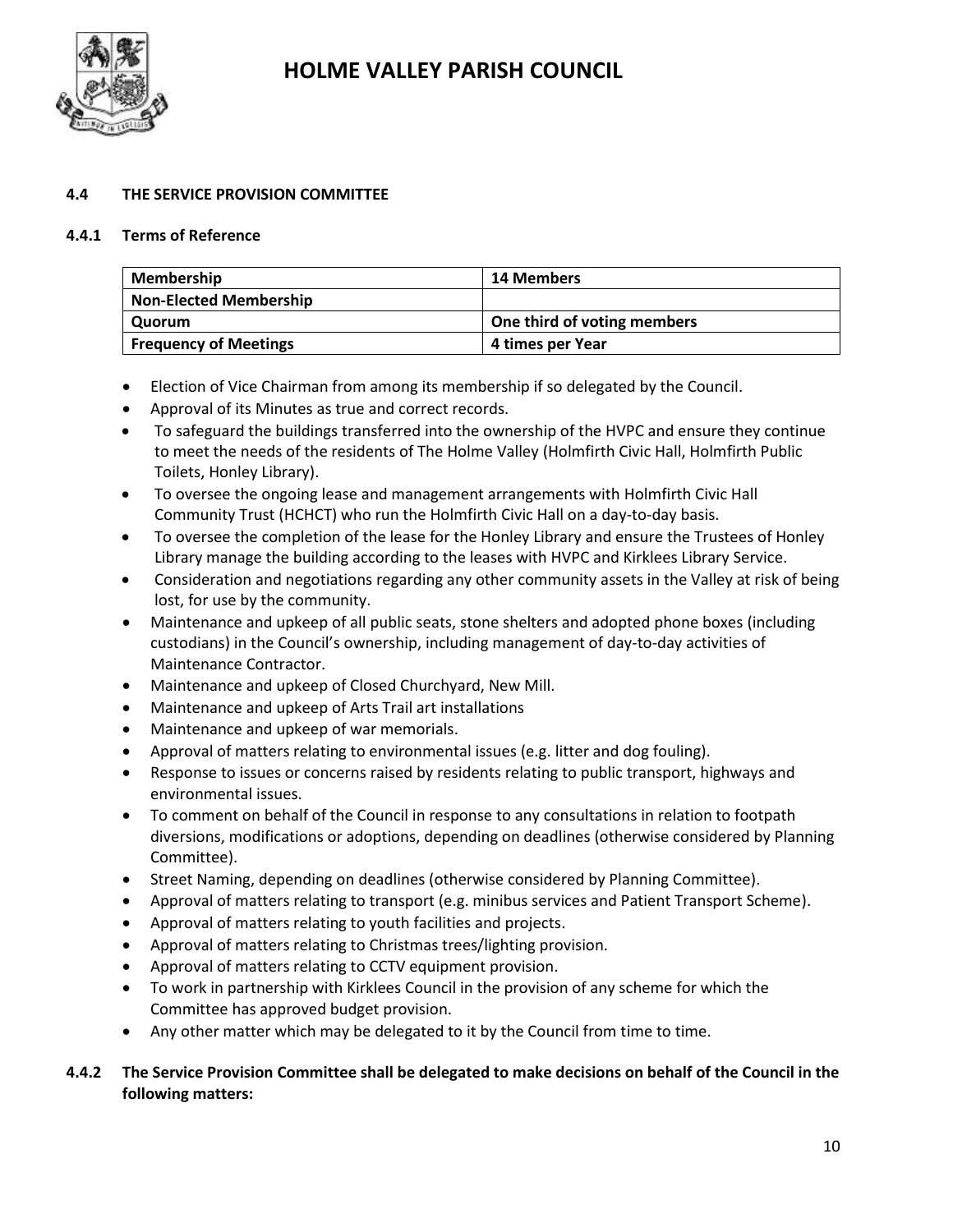

### **4.4 THE SERVICE PROVISION COMMITTEE**

#### **4.4.1 Terms of Reference**

| <b>Membership</b>             | 14 Members                  |
|-------------------------------|-----------------------------|
| <b>Non-Elected Membership</b> |                             |
| Quorum                        | One third of voting members |
| <b>Frequency of Meetings</b>  | 4 times per Year            |

- Election of Vice Chairman from among its membership if so delegated by the Council.
- Approval of its Minutes as true and correct records.
- To safeguard the buildings transferred into the ownership of the HVPC and ensure they continue to meet the needs of the residents of The Holme Valley (Holmfirth Civic Hall, Holmfirth Public Toilets, Honley Library).
- To oversee the ongoing lease and management arrangements with Holmfirth Civic Hall Community Trust (HCHCT) who run the Holmfirth Civic Hall on a day-to-day basis.
- To oversee the completion of the lease for the Honley Library and ensure the Trustees of Honley Library manage the building according to the leases with HVPC and Kirklees Library Service.
- Consideration and negotiations regarding any other community assets in the Valley at risk of being lost, for use by the community.
- Maintenance and upkeep of all public seats, stone shelters and adopted phone boxes (including custodians) in the Council's ownership, including management of day-to-day activities of Maintenance Contractor.
- Maintenance and upkeep of Closed Churchyard, New Mill.
- Maintenance and upkeep of Arts Trail art installations
- Maintenance and upkeep of war memorials.
- Approval of matters relating to environmental issues (e.g. litter and dog fouling).
- Response to issues or concerns raised by residents relating to public transport, highways and environmental issues.
- To comment on behalf of the Council in response to any consultations in relation to footpath diversions, modifications or adoptions, depending on deadlines (otherwise considered by Planning Committee).
- Street Naming, depending on deadlines (otherwise considered by Planning Committee).
- Approval of matters relating to transport (e.g. minibus services and Patient Transport Scheme).
- Approval of matters relating to youth facilities and projects.
- Approval of matters relating to Christmas trees/lighting provision.
- Approval of matters relating to CCTV equipment provision.
- To work in partnership with Kirklees Council in the provision of any scheme for which the Committee has approved budget provision.
- Any other matter which may be delegated to it by the Council from time to time.

### **4.4.2 The Service Provision Committee shall be delegated to make decisions on behalf of the Council in the following matters:**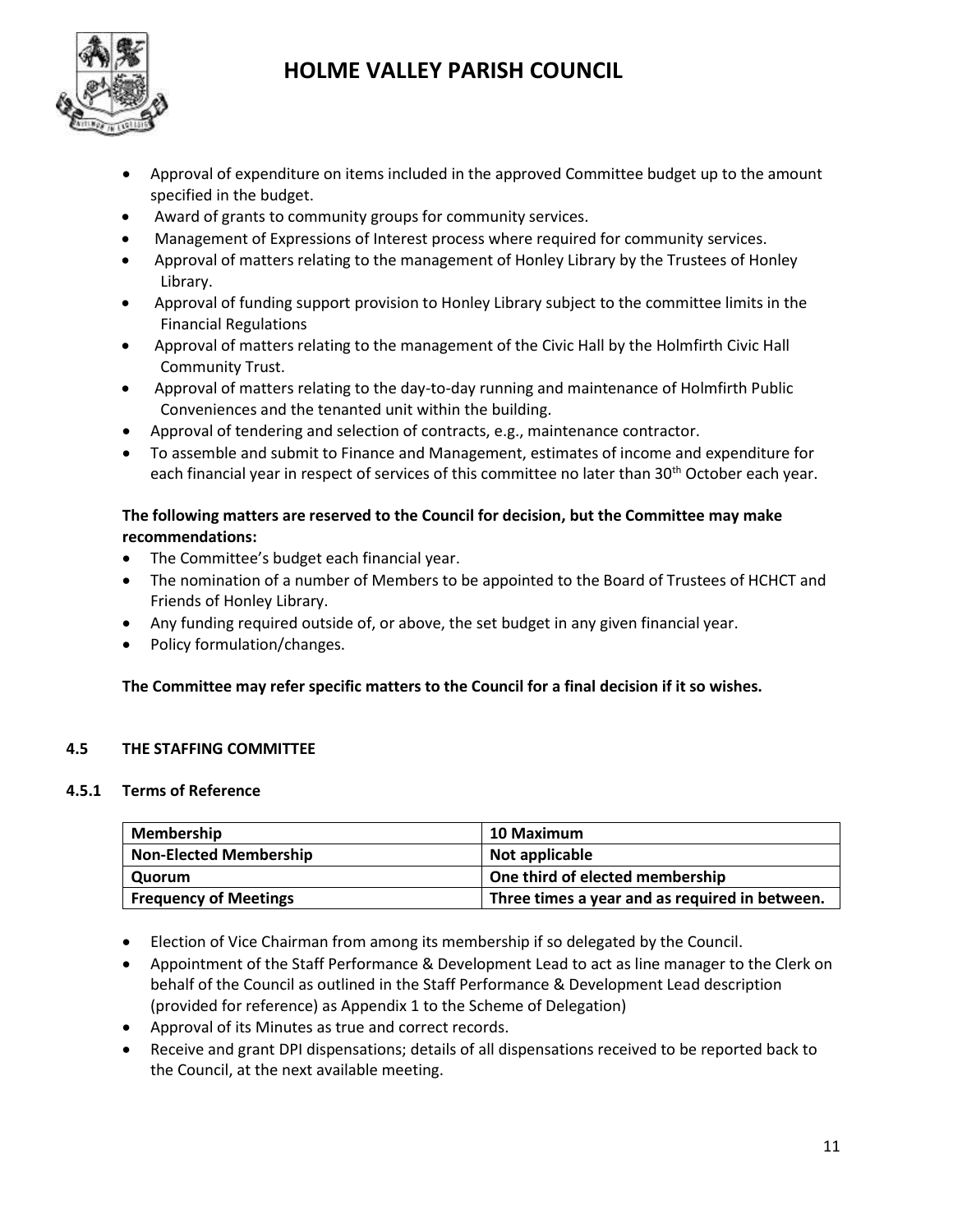

- Approval of expenditure on items included in the approved Committee budget up to the amount specified in the budget.
- Award of grants to community groups for community services.
- Management of Expressions of Interest process where required for community services.
- Approval of matters relating to the management of Honley Library by the Trustees of Honley Library.
- Approval of funding support provision to Honley Library subject to the committee limits in the Financial Regulations
- Approval of matters relating to the management of the Civic Hall by the Holmfirth Civic Hall Community Trust.
- Approval of matters relating to the day-to-day running and maintenance of Holmfirth Public Conveniences and the tenanted unit within the building.
- Approval of tendering and selection of contracts, e.g., maintenance contractor.
- To assemble and submit to Finance and Management, estimates of income and expenditure for each financial year in respect of services of this committee no later than 30<sup>th</sup> October each year.

# **The following matters are reserved to the Council for decision, but the Committee may make recommendations:**

- The Committee's budget each financial year.
- The nomination of a number of Members to be appointed to the Board of Trustees of HCHCT and Friends of Honley Library.
- Any funding required outside of, or above, the set budget in any given financial year.
- Policy formulation/changes.

# **The Committee may refer specific matters to the Council for a final decision if it so wishes.**

# **4.5 THE STAFFING COMMITTEE**

### **4.5.1 Terms of Reference**

| <b>Membership</b>             | <b>10 Maximum</b>                              |
|-------------------------------|------------------------------------------------|
| <b>Non-Elected Membership</b> | Not applicable                                 |
| Quorum                        | One third of elected membership                |
| <b>Frequency of Meetings</b>  | Three times a year and as required in between. |

- Election of Vice Chairman from among its membership if so delegated by the Council.
- Appointment of the Staff Performance & Development Lead to act as line manager to the Clerk on behalf of the Council as outlined in the Staff Performance & Development Lead description (provided for reference) as Appendix 1 to the Scheme of Delegation)
- Approval of its Minutes as true and correct records.
- Receive and grant DPI dispensations; details of all dispensations received to be reported back to the Council, at the next available meeting.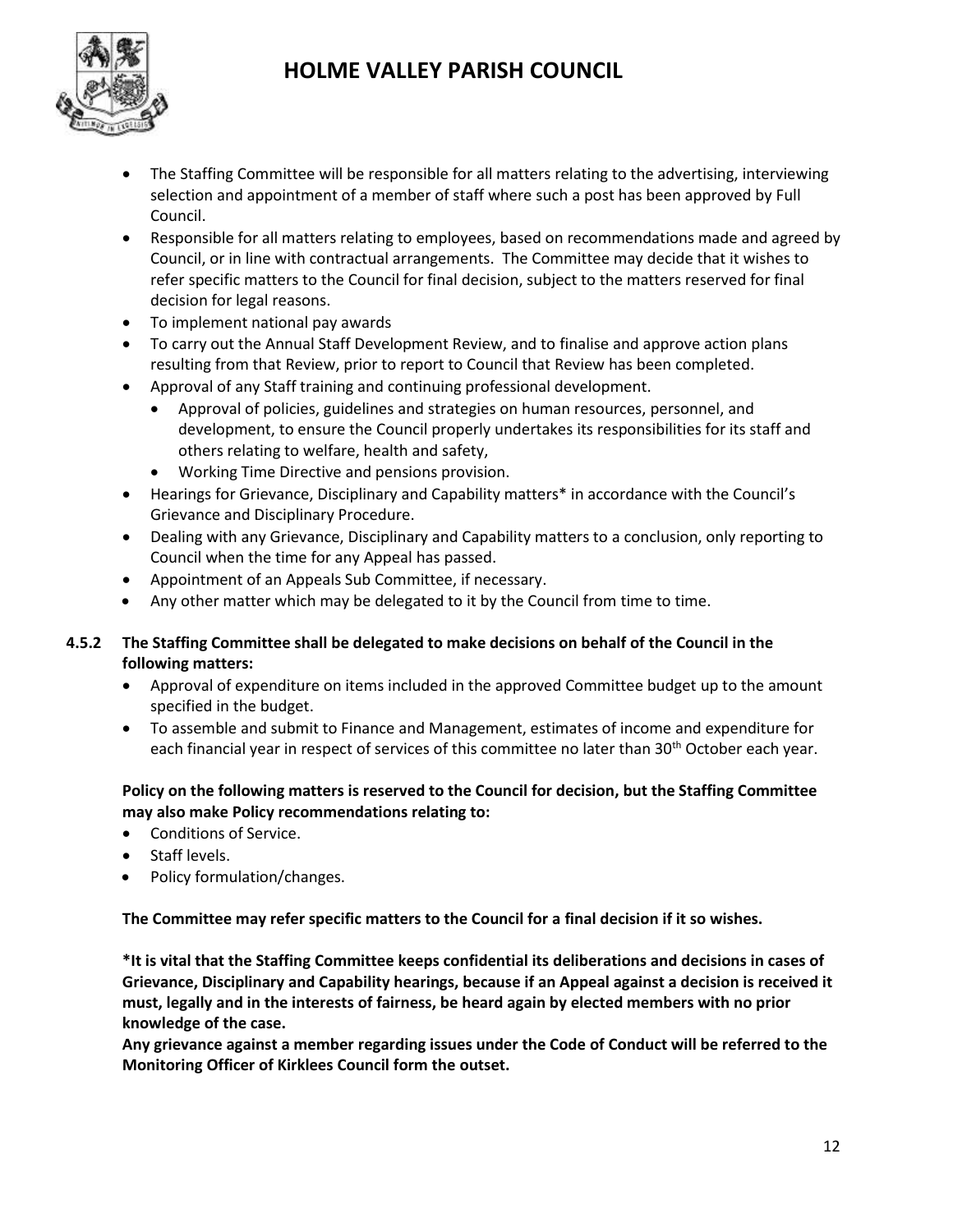

- The Staffing Committee will be responsible for all matters relating to the advertising, interviewing selection and appointment of a member of staff where such a post has been approved by Full Council.
- Responsible for all matters relating to employees, based on recommendations made and agreed by Council, or in line with contractual arrangements. The Committee may decide that it wishes to refer specific matters to the Council for final decision, subject to the matters reserved for final decision for legal reasons.
- To implement national pay awards
- To carry out the Annual Staff Development Review, and to finalise and approve action plans resulting from that Review, prior to report to Council that Review has been completed.
- Approval of any Staff training and continuing professional development.
	- Approval of policies, guidelines and strategies on human resources, personnel, and development, to ensure the Council properly undertakes its responsibilities for its staff and others relating to welfare, health and safety,
	- Working Time Directive and pensions provision.
- Hearings for Grievance, Disciplinary and Capability matters\* in accordance with the Council's Grievance and Disciplinary Procedure.
- Dealing with any Grievance, Disciplinary and Capability matters to a conclusion, only reporting to Council when the time for any Appeal has passed.
- Appointment of an Appeals Sub Committee, if necessary.
- Any other matter which may be delegated to it by the Council from time to time.

# **4.5.2 The Staffing Committee shall be delegated to make decisions on behalf of the Council in the following matters:**

- Approval of expenditure on items included in the approved Committee budget up to the amount specified in the budget.
- To assemble and submit to Finance and Management, estimates of income and expenditure for each financial year in respect of services of this committee no later than 30<sup>th</sup> October each year.

# **Policy on the following matters is reserved to the Council for decision, but the Staffing Committee may also make Policy recommendations relating to:**

- Conditions of Service.
- Staff levels.
- Policy formulation/changes.

**The Committee may refer specific matters to the Council for a final decision if it so wishes.**

**\*It is vital that the Staffing Committee keeps confidential its deliberations and decisions in cases of Grievance, Disciplinary and Capability hearings, because if an Appeal against a decision is received it must, legally and in the interests of fairness, be heard again by elected members with no prior knowledge of the case.**

**Any grievance against a member regarding issues under the Code of Conduct will be referred to the Monitoring Officer of Kirklees Council form the outset.**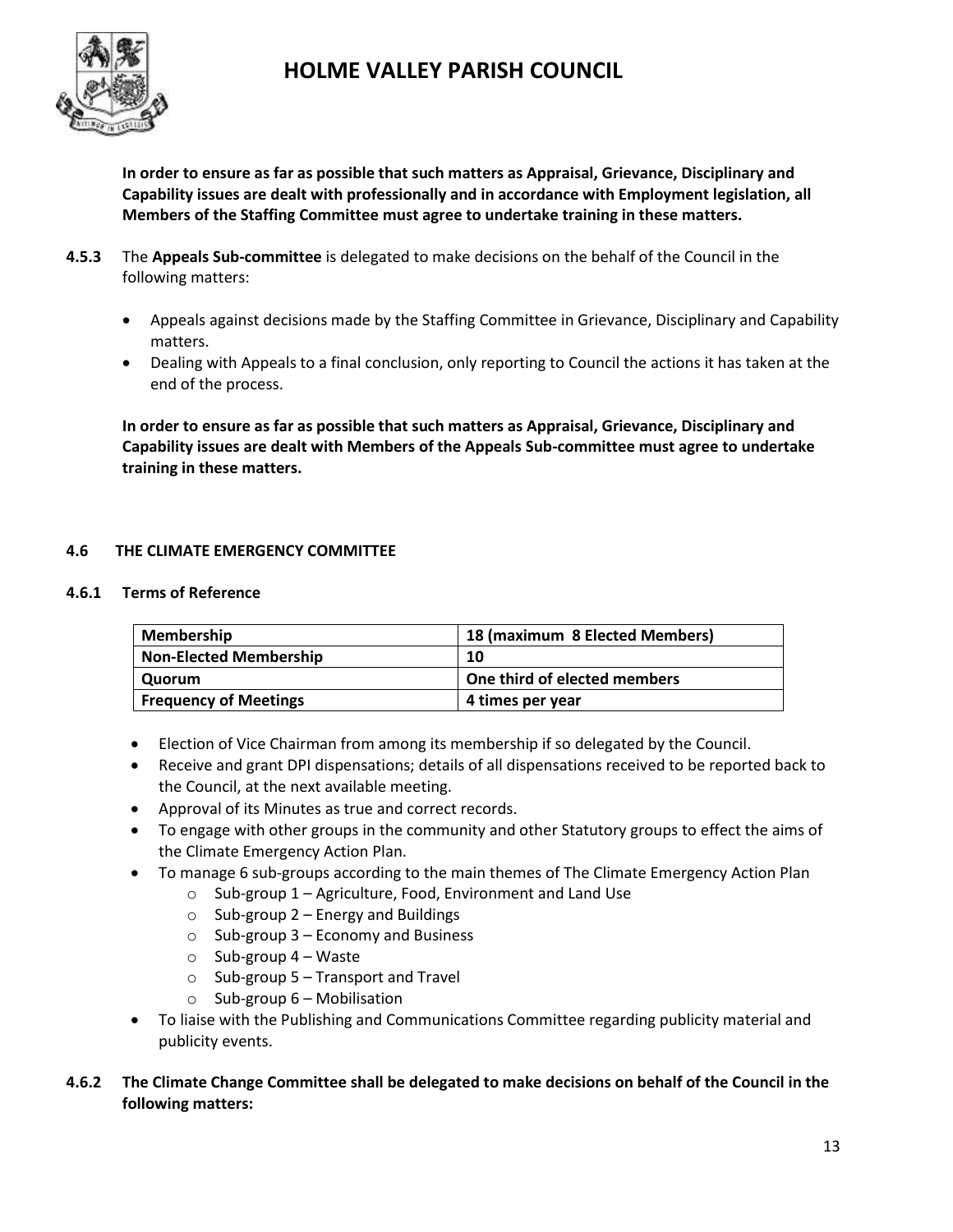

**In order to ensure as far as possible that such matters as Appraisal, Grievance, Disciplinary and Capability issues are dealt with professionally and in accordance with Employment legislation, all Members of the Staffing Committee must agree to undertake training in these matters.**

- **4.5.3** The **Appeals Sub-committee** is delegated to make decisions on the behalf of the Council in the following matters:
	- Appeals against decisions made by the Staffing Committee in Grievance, Disciplinary and Capability matters.
	- Dealing with Appeals to a final conclusion, only reporting to Council the actions it has taken at the end of the process.

**In order to ensure as far as possible that such matters as Appraisal, Grievance, Disciplinary and Capability issues are dealt with Members of the Appeals Sub-committee must agree to undertake training in these matters.**

# **4.6 THE CLIMATE EMERGENCY COMMITTEE**

### **4.6.1 Terms of Reference**

| <b>Membership</b>             | 18 (maximum 8 Elected Members) |
|-------------------------------|--------------------------------|
| <b>Non-Elected Membership</b> | 10                             |
| Quorum                        | One third of elected members   |
| <b>Frequency of Meetings</b>  | 4 times per year               |

- Election of Vice Chairman from among its membership if so delegated by the Council.
- Receive and grant DPI dispensations; details of all dispensations received to be reported back to the Council, at the next available meeting.
- Approval of its Minutes as true and correct records.
- To engage with other groups in the community and other Statutory groups to effect the aims of the Climate Emergency Action Plan.
- To manage 6 sub-groups according to the main themes of The Climate Emergency Action Plan
	- $\circ$  Sub-group 1 Agriculture, Food, Environment and Land Use
		- $\circ$  Sub-group 2 Energy and Buildings
		- $\circ$  Sub-group 3 Economy and Business
		- $\circ$  Sub-group 4 Waste
		- $\circ$  Sub-group 5 Transport and Travel
		- $\circ$  Sub-group 6 Mobilisation
- To liaise with the Publishing and Communications Committee regarding publicity material and publicity events.
- **4.6.2 The Climate Change Committee shall be delegated to make decisions on behalf of the Council in the following matters:**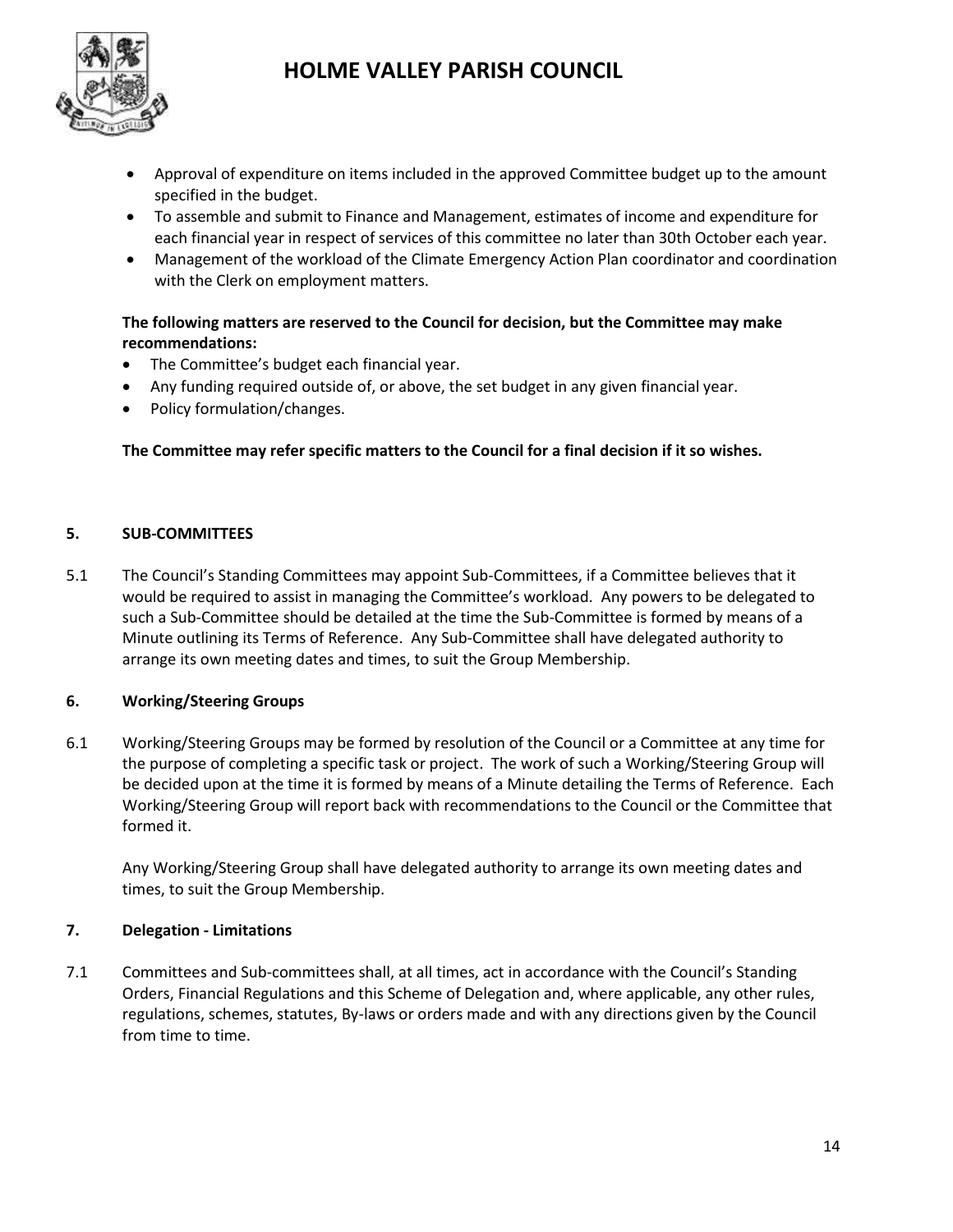

- Approval of expenditure on items included in the approved Committee budget up to the amount specified in the budget.
- To assemble and submit to Finance and Management, estimates of income and expenditure for each financial year in respect of services of this committee no later than 30th October each year.
- Management of the workload of the Climate Emergency Action Plan coordinator and coordination with the Clerk on employment matters.

# **The following matters are reserved to the Council for decision, but the Committee may make recommendations:**

- The Committee's budget each financial year.
- Any funding required outside of, or above, the set budget in any given financial year.
- Policy formulation/changes.

### **The Committee may refer specific matters to the Council for a final decision if it so wishes.**

### **5. SUB-COMMITTEES**

5.1 The Council's Standing Committees may appoint Sub-Committees, if a Committee believes that it would be required to assist in managing the Committee's workload. Any powers to be delegated to such a Sub-Committee should be detailed at the time the Sub-Committee is formed by means of a Minute outlining its Terms of Reference. Any Sub-Committee shall have delegated authority to arrange its own meeting dates and times, to suit the Group Membership.

# **6. Working/Steering Groups**

6.1 Working/Steering Groups may be formed by resolution of the Council or a Committee at any time for the purpose of completing a specific task or project. The work of such a Working/Steering Group will be decided upon at the time it is formed by means of a Minute detailing the Terms of Reference. Each Working/Steering Group will report back with recommendations to the Council or the Committee that formed it.

Any Working/Steering Group shall have delegated authority to arrange its own meeting dates and times, to suit the Group Membership.

### **7. Delegation - Limitations**

7.1 Committees and Sub-committees shall, at all times, act in accordance with the Council's Standing Orders, Financial Regulations and this Scheme of Delegation and, where applicable, any other rules, regulations, schemes, statutes, By-laws or orders made and with any directions given by the Council from time to time.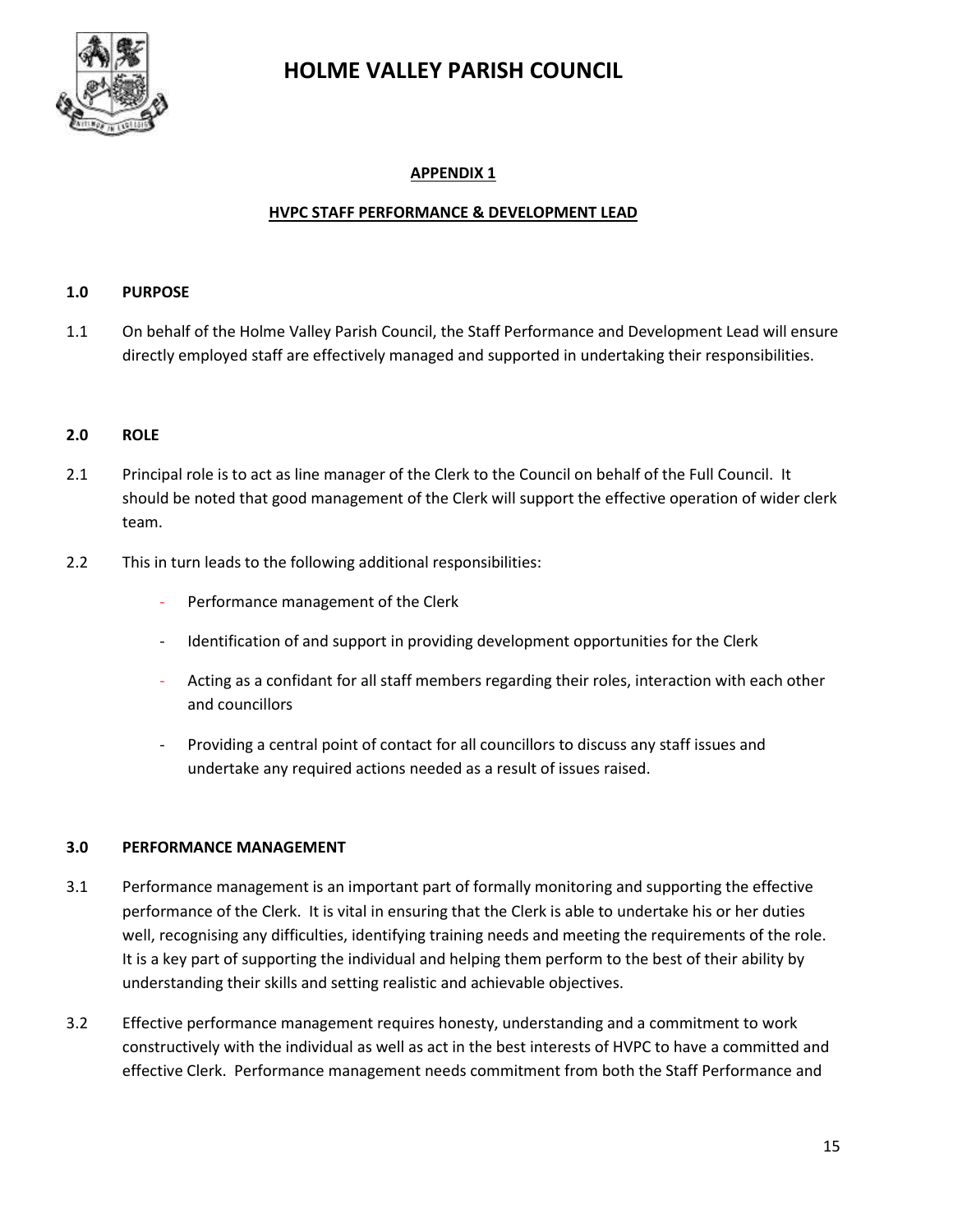

# **APPENDIX 1**

### **HVPC STAFF PERFORMANCE & DEVELOPMENT LEAD**

### **1.0 PURPOSE**

1.1 On behalf of the Holme Valley Parish Council, the Staff Performance and Development Lead will ensure directly employed staff are effectively managed and supported in undertaking their responsibilities.

#### **2.0 ROLE**

- 2.1 Principal role is to act as line manager of the Clerk to the Council on behalf of the Full Council. It should be noted that good management of the Clerk will support the effective operation of wider clerk team.
- 2.2 This in turn leads to the following additional responsibilities:
	- Performance management of the Clerk
	- Identification of and support in providing development opportunities for the Clerk
	- Acting as a confidant for all staff members regarding their roles, interaction with each other and councillors
	- Providing a central point of contact for all councillors to discuss any staff issues and undertake any required actions needed as a result of issues raised.

#### **3.0 PERFORMANCE MANAGEMENT**

- 3.1 Performance management is an important part of formally monitoring and supporting the effective performance of the Clerk. It is vital in ensuring that the Clerk is able to undertake his or her duties well, recognising any difficulties, identifying training needs and meeting the requirements of the role. It is a key part of supporting the individual and helping them perform to the best of their ability by understanding their skills and setting realistic and achievable objectives.
- 3.2 Effective performance management requires honesty, understanding and a commitment to work constructively with the individual as well as act in the best interests of HVPC to have a committed and effective Clerk. Performance management needs commitment from both the Staff Performance and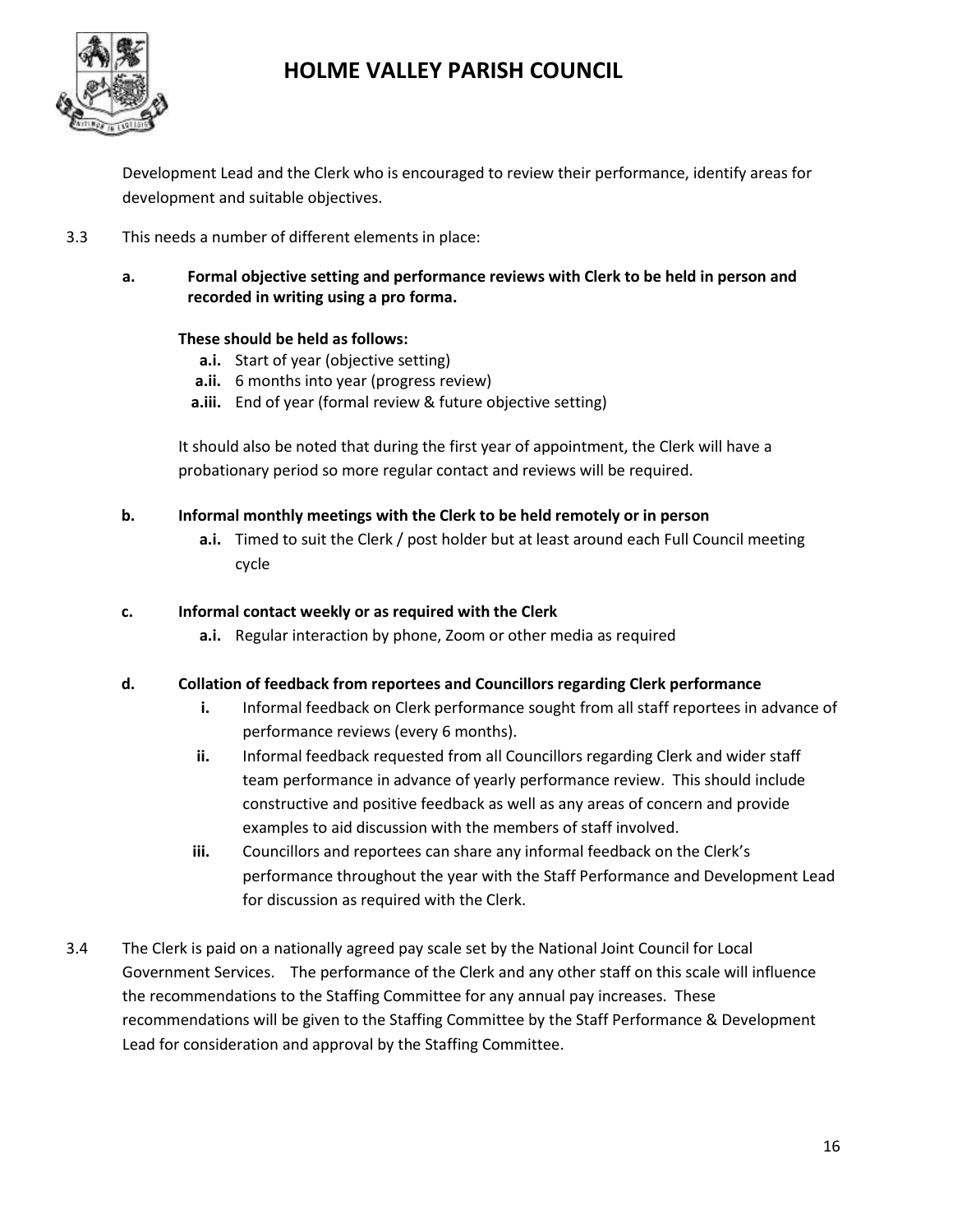

Development Lead and the Clerk who is encouraged to review their performance, identify areas for development and suitable objectives.

- 3.3 This needs a number of different elements in place:
	- **a. Formal objective setting and performance reviews with Clerk to be held in person and recorded in writing using a pro forma.**

### **These should be held as follows:**

- **a.i.** Start of year (objective setting)
- **a.ii.** 6 months into year (progress review)
- **a.iii.** End of year (formal review & future objective setting)

It should also be noted that during the first year of appointment, the Clerk will have a probationary period so more regular contact and reviews will be required.

### **b. Informal monthly meetings with the Clerk to be held remotely or in person**

**a.i.** Timed to suit the Clerk / post holder but at least around each Full Council meeting cycle

### **c. Informal contact weekly or as required with the Clerk**

**a.i.** Regular interaction by phone, Zoom or other media as required

### **d. Collation of feedback from reportees and Councillors regarding Clerk performance**

- **i.** Informal feedback on Clerk performance sought from all staff reportees in advance of performance reviews (every 6 months).
- **ii.** Informal feedback requested from all Councillors regarding Clerk and wider staff team performance in advance of yearly performance review. This should include constructive and positive feedback as well as any areas of concern and provide examples to aid discussion with the members of staff involved.
- **iii.** Councillors and reportees can share any informal feedback on the Clerk's performance throughout the year with the Staff Performance and Development Lead for discussion as required with the Clerk.
- 3.4 The Clerk is paid on a nationally agreed pay scale set by the National Joint Council for Local Government Services. The performance of the Clerk and any other staff on this scale will influence the recommendations to the Staffing Committee for any annual pay increases. These recommendations will be given to the Staffing Committee by the Staff Performance & Development Lead for consideration and approval by the Staffing Committee.